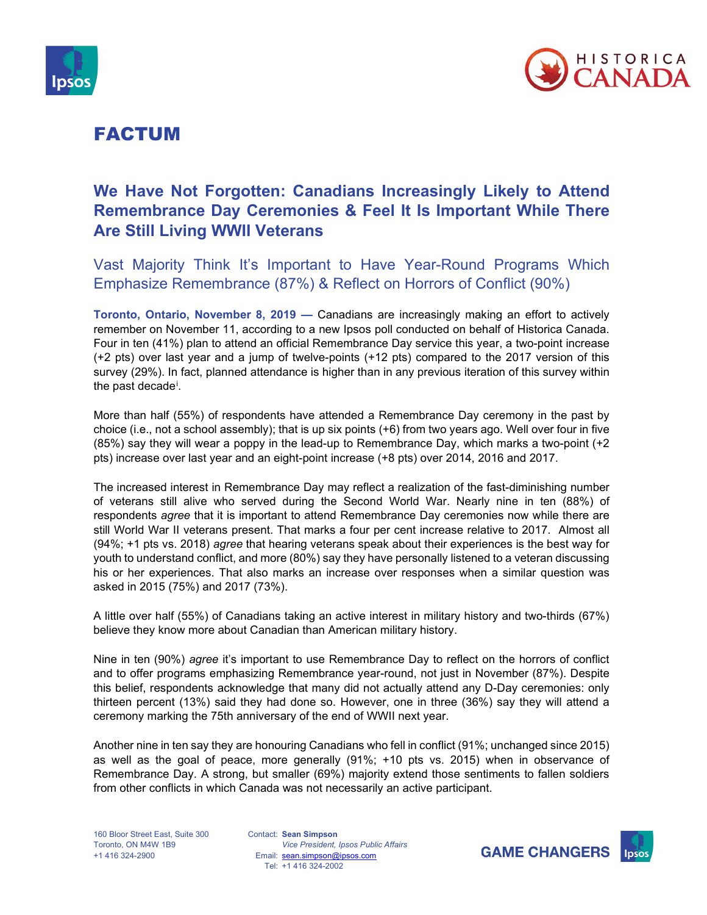



## FACTUM

### **We Have Not Forgotten: Canadians Increasingly Likely to Attend Remembrance Day Ceremonies & Feel It Is Important While There Are Still Living WWII Veterans**

Vast Majority Think It's Important to Have Year-Round Programs Which Emphasize Remembrance (87%) & Reflect on Horrors of Conflict (90%)

**Toronto, Ontario, November 8, 2019 —** Canadians are increasingly making an effort to actively remember on November 11, according to a new Ipsos poll conducted on behalf of Historica Canada. Four in ten (41%) plan to attend an official Remembrance Day service this year, a two-point increase (+2 pts) over last year and a jump of twelve-points (+12 pts) compared to the 2017 version of this survey (29%). In fact, planned attendance is higher than in any previous iteration of this survey within the past decade[i](#page-2-0) .

More than half (55%) of respondents have attended a Remembrance Day ceremony in the past by choice (i.e., not a school assembly); that is up six points (+6) from two years ago. Well over four in five (85%) say they will wear a poppy in the lead-up to Remembrance Day, which marks a two-point (+2 pts) increase over last year and an eight-point increase (+8 pts) over 2014, 2016 and 2017.

The increased interest in Remembrance Day may reflect a realization of the fast-diminishing number of veterans still alive who served during the Second World War. Nearly nine in ten (88%) of respondents *agree* that it is important to attend Remembrance Day ceremonies now while there are still World War II veterans present. That marks a four per cent increase relative to 2017. Almost all (94%; +1 pts vs. 2018) *agree* that hearing veterans speak about their experiences is the best way for youth to understand conflict, and more (80%) say they have personally listened to a veteran discussing his or her experiences. That also marks an increase over responses when a similar question was asked in 2015 (75%) and 2017 (73%).

A little over half (55%) of Canadians taking an active interest in military history and two-thirds (67%) believe they know more about Canadian than American military history.

Nine in ten (90%) *agree* it's important to use Remembrance Day to reflect on the horrors of conflict and to offer programs emphasizing Remembrance year-round, not just in November (87%). Despite this belief, respondents acknowledge that many did not actually attend any D-Day ceremonies: only thirteen percent (13%) said they had done so. However, one in three (36%) say they will attend a ceremony marking the 75th anniversary of the end of WWII next year.

Another nine in ten say they are honouring Canadians who fell in conflict (91%; unchanged since 2015) as well as the goal of peace, more generally (91%; +10 pts vs. 2015) when in observance of Remembrance Day. A strong, but smaller (69%) majority extend those sentiments to fallen soldiers from other conflicts in which Canada was not necessarily an active participant.

Contact: **Sean Simpson** Email: [sean.simpson@ipsos.com](mailto:sean.simpson@ipsos.com) Tel: +1 416 324-2002 *Vice President, Ipsos Public Affairs*



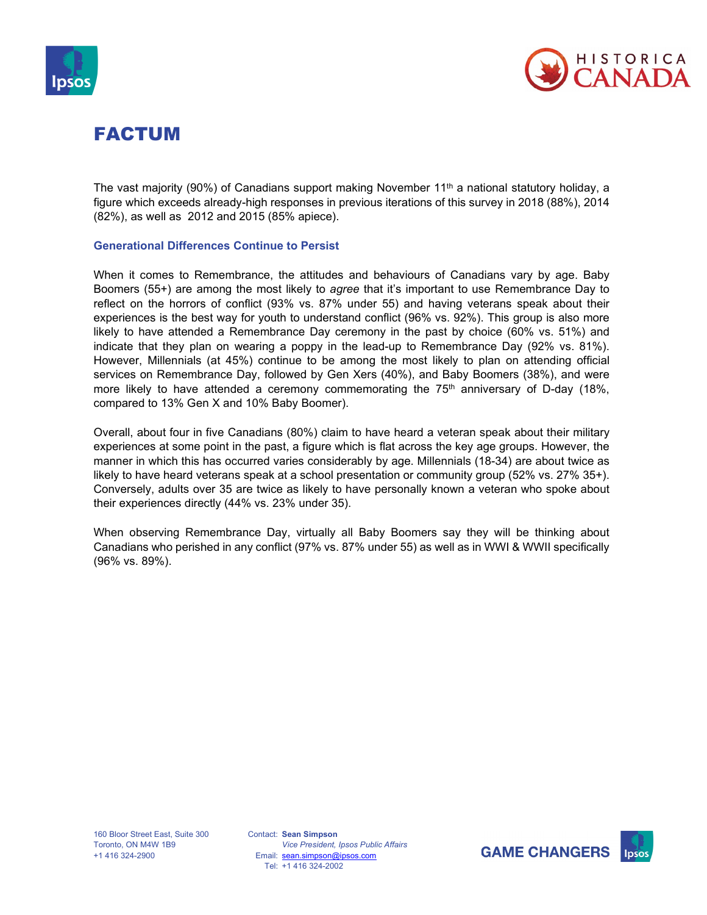



# FACTUM

The vast majority (90%) of Canadians support making November 11<sup>th</sup> a national statutory holiday, a figure which exceeds already-high responses in previous iterations of this survey in 2018 (88%), 2014 (82%), as well as 2012 and 2015 (85% apiece).

#### **Generational Differences Continue to Persist**

When it comes to Remembrance, the attitudes and behaviours of Canadians vary by age. Baby Boomers (55+) are among the most likely to *agree* that it's important to use Remembrance Day to reflect on the horrors of conflict (93% vs. 87% under 55) and having veterans speak about their experiences is the best way for youth to understand conflict (96% vs. 92%). This group is also more likely to have attended a Remembrance Day ceremony in the past by choice (60% vs. 51%) and indicate that they plan on wearing a poppy in the lead-up to Remembrance Day (92% vs. 81%). However, Millennials (at 45%) continue to be among the most likely to plan on attending official services on Remembrance Day, followed by Gen Xers (40%), and Baby Boomers (38%), and were more likely to have attended a ceremony commemorating the  $75<sup>th</sup>$  anniversary of D-day (18%, compared to 13% Gen X and 10% Baby Boomer).

Overall, about four in five Canadians (80%) claim to have heard a veteran speak about their military experiences at some point in the past, a figure which is flat across the key age groups. However, the manner in which this has occurred varies considerably by age. Millennials (18-34) are about twice as likely to have heard veterans speak at a school presentation or community group (52% vs. 27% 35+). Conversely, adults over 35 are twice as likely to have personally known a veteran who spoke about their experiences directly (44% vs. 23% under 35).

When observing Remembrance Day, virtually all Baby Boomers say they will be thinking about Canadians who perished in any conflict (97% vs. 87% under 55) as well as in WWI & WWII specifically (96% vs. 89%).